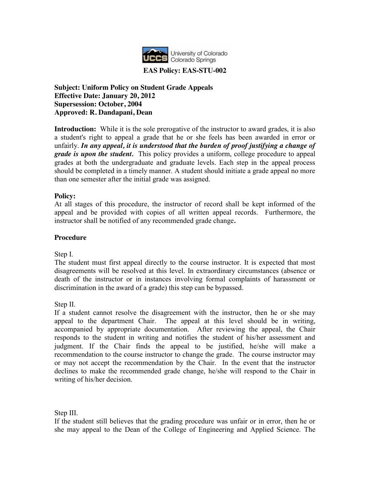

## **EAS Policy: EAS-STU-002**

**Subject: Uniform Policy on Student Grade Appeals Effective Date: January 20, 2012 Supersession: October, 2004 Approved: R. Dandapani, Dean**

**Introduction:** While it is the sole prerogative of the instructor to award grades, it is also a student's right to appeal a grade that he or she feels has been awarded in error or unfairly. *In any appeal, it is understood that the burden of proof justifying a change of grade is upon the student.* This policy provides a uniform, college procedure to appeal grades at both the undergraduate and graduate levels. Each step in the appeal process should be completed in a timely manner. A student should initiate a grade appeal no more than one semester after the initial grade was assigned.

## **Policy:**

At all stages of this procedure, the instructor of record shall be kept informed of the appeal and be provided with copies of all written appeal records. Furthermore, the instructor shall be notified of any recommended grade change*.*

## **Procedure**

Step I.

The student must first appeal directly to the course instructor. It is expected that most disagreements will be resolved at this level. In extraordinary circumstances (absence or death of the instructor or in instances involving formal complaints of harassment or discrimination in the award of a grade) this step can be bypassed.

Step II.

If a student cannot resolve the disagreement with the instructor, then he or she may appeal to the department Chair. The appeal at this level should be in writing, accompanied by appropriate documentation. After reviewing the appeal, the Chair responds to the student in writing and notifies the student of his/her assessment and judgment. If the Chair finds the appeal to be justified, he/she will make a recommendation to the course instructor to change the grade. The course instructor may or may not accept the recommendation by the Chair. In the event that the instructor declines to make the recommended grade change, he/she will respond to the Chair in writing of his/her decision.

Step III.

If the student still believes that the grading procedure was unfair or in error, then he or she may appeal to the Dean of the College of Engineering and Applied Science. The